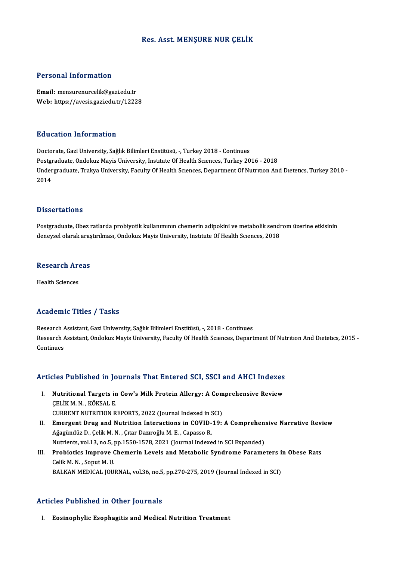### Res. Asst. MENŞURE NUR ÇELİK

#### Personal Information

Email: mensurenurcelik@gazi.edu.tr Web: https://avesis.gazi.edu.tr/12228

#### Education Information

Doctorate, Gazi University, Sağlık Bilimleri Enstitüsü, -, Turkey 2018 - Continues Postgraduate, Ondokuz Mayis University, Institute Of Health Sciences, Turkey 2016 - 2018 Doctorate, Gazi University, Sağlık Bilimleri Enstitüsü, -, Turkey 2018 - Continues<br>Postgraduate, Ondokuz Mayis University, Institute Of Health Sciences, Turkey 2016 - 2018<br>Undergraduate, Trakya University, Faculty Of Healt Postgi<br>Under<br>2014 Dissertations

Postgraduate, Obez ratlarda probiyotik kullanımının chemerin adipokini ve metabolik sendrom üzerine etkisinin deneysel olarak araştırılması, Ondokuz Mayis University, Institute Of Health Sciences, 2018

### deneysel olarak araş<br>Research Areas R<mark>esearch Ar</mark><br>Health Sciences

## Academic Titles / Tasks

Research Assistant, Gazi University, Sağlık Bilimleri Enstitüsü, -, 2018 - Continues redu enne Treres 7 Tuone<br>Research Assistant, Gazi University, Sağlık Bilimleri Enstitüsü, -, 2018 - Continues<br>Research Assistant, Ondokuz Mayis University, Faculty Of Health Scıences, Department Of Nutrıtıon And Dıetetıcs, Research *|*<br>Research *|*<br>Continues

# Articles Published in Journals That Entered SCI, SSCI and AHCI Indexes

- rticles Published in Journals That Entered SCI, SSCI and AHCI Indexes<br>I. Nutritional Targets in Cow's Milk Protein Allergy: A Comprehensive Review<br>CELIKM N. KÖKSALE Nutritional Targets in<br>Nutritional Targets in<br>CELIK M. N. , KÖKSAL E.<br>CURRENT NUTRITION B Nutritional Targets in Cow's Milk Protein Allergy: A Com<br>CELIK M. N. , KÖKSAL E.<br>CURRENT NUTRITION REPORTS, 2022 (Journal Indexed in SCI)<br>Emergent Drug and Nutrition Interactions in COVID 19.
- CELIK M. N. , KÖKSAL E.<br>CURRENT NUTRITION REPORTS, 2022 (Journal Indexed in SCI)<br>II. Emergent Drug and Nutrition Interactions in COVID-19: A Comprehensive Narrative Review CURRENT NUTRITION REPORTS, 2022 (Journal Indexed in SCI)<br>Emergent Drug and Nutrition Interactions in COVID-19:<br>Ağagündüz D., Çelik M. N., Çıtar Dazıroğlu M. E., Capasso R. Emergent Drug and Nutrition Interactions in COVID-19: A Comprehen:<br>Ağagündüz D., Çelik M. N. , Çıtar Dazıroğlu M. E. , Capasso R.<br>Nutrients, vol.13, no.5, pp.1550-1578, 2021 (Journal Indexed in SCI Expanded)<br>Probiotiss Imp Nutrients, vol.13, no.5, pp.1550-1578, 2021 (Journal Indexed in SCI Expanded)
- III. Probiotics Improve Chemerin Levels and Metabolic Syndrome Parameters in Obese Rats<br>Celik M. N., Soput M. U. BALKAN MEDICAL JOURNAL, vol.36, no.5, pp.270-275, 2019 (Journal Indexed in SCI)

### Articles Published in Other Journals

I. Eosinophylic Esophagitis and Medical Nutrition Treatment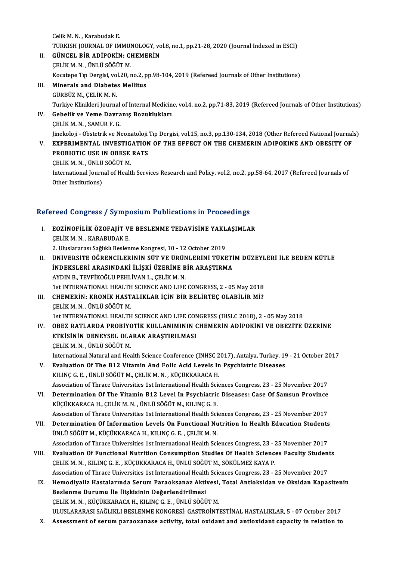CelikM.N. ,KarabudakE. Celik M. N. , Karabudak E.<br>TURKISH JOURNAL OF IMMUNOLOGY, vol.8, no.1, pp.21-28, 2020 (Journal Indexed in ESCI)<br>CÜNCEL PİR ADİROKİN: CHEMERİN Celik M. N. , Karabudak E.<br>TURKISH JOURNAL OF IMMUNOLOGY, vo<br>II. GÜNCEL BİR ADİPOKİN: CHEMERİN

- TURKISH JOURNAL OF IMMUI<br>GÜNCEL BİR ADİPOKİN: CI<br>ÇELİK M. N. , ÜNLÜ SÖĞÜT M.<br>Kosatana Tır Dargisi val 20, r GÜNCEL BİR ADİPOKİN: CHEMERİN<br>ÇELİK M. N. , ÜNLÜ SÖĞÜT M.<br>Kocatepe Tıp Dergisi, vol.20, no.2, pp.98-104, 2019 (Refereed Journals of Other Institutions)<br>Minerals and Diabatas Mallitus
- ÇELİK M. N. , ÜNLÜ SÖĞÜT M.<br>Kocatepe Tıp Dergisi, vol.20, no.2, p<br>III. Minerals and Diabetes Mellitus<br>GÜRBÜZ M., ÇELİK M. N. Kocatepe Tıp Dergisi, vol<br>Minerals and Diabete:<br>GÜRBÜZ M., ÇELİK M. N.<br>Turkiya Klinikleri Jaurna Minerals and Diabetes Mellitus<br>GÜRBÜZ M., ÇELİK M. N.<br>Turkiye Klinikleri Journal of Internal Medicine, vol.4, no.2, pp.71-83, 2019 (Refereed Journals of Other Institutions)
- IV. Gebelik ve Yeme Davranış Bozuklukları Turkiye Klinikleri Journal<br>Gebelik ve Yeme Davra<br>ÇELİK M. N. , SAMUR F. G.<br>Jinekeleji - Obstatrik ve N. Gebelik ve Yeme Davranış Bozuklukları<br>ÇELİK M. N. , SAMUR F. G.<br>Jinekoloji - Obstetrik ve Neonatoloji Tıp Dergisi, vol.15, no.3, pp.130-134, 2018 (Other Refereed National Journals)<br>EXPERIMENTAL INVESTIC ATION OF TUE EFFECT CELIK M. N. , SAMUR F. G.<br>Jinekoloji - Obstetrik ve Neonatoloji Tıp Dergisi, vol.15, no.3, pp.130-134, 2018 (Other Refereed National Journal<br>V. EXPERIMENTAL INVESTIGATION OF THE EFFECT ON THE CHEMERIN ADIPOKINE AND OBESITY
- Jinekoloji Obstetrik ve Neonatoloji<br>EXPERIMENTAL INVESTIGATION<br>PROBIOTIC USE IN OBESE RATS<br>CELIKM N. JINIJI GÖČÜT M V. EXPERIMENTAL INVESTIGATION OF THE EFFECT ON THE CHEMERIN ADIPOKINE AND OBESITY OF PROBIOTIC USE IN OBESE RATS<br>
CELIKM.N., ÜNLÜ SÖĞÜTM.

PROBIOTIC USE IN OBESE RATS<br>ÇELİK M. N. , ÜNLÜ SÖĞÜT M.<br>International Journal of Health Services Research and Policy, vol.2, no.2, pp.58-64, 2017 (Refereed Journals of<br>Other Institutione) ÇELİK M. N. , ÜNLÜ<br>International Journ<br>Other Institutions)

## 0ther Institutions)<br>Refereed Congress / Symposium Publications in Proceedings

- efereed Congress / Symposium Publications in Proceedings<br>I. EOZİNOFİLİK ÖZOFAJİT VE BESLENME TEDAVİSİNE YAKLAŞIMLAR<br>CELİKM N. KARABUDAKE roca Göngross 7 by mp.<br>EOZİNOFİLİK ÖZOFAJİT V.<br>ÇELİK M. N. , KARABUDAK E. EOZİNOFİLİK ÖZOFAJİT VE BESLENME TEDAVİSİNE YAKL<br>ÇELİK M. N. , KARABUDAK E.<br>2. Uluslararası Sağlıklı Beslenme Kongresi, 10 - 12 October 2019<br>ÜNİVERSİTE ÖÖRENCİL ERİNİN SÜT VE ÜRÜNI ERİNİ TÜYE ÇELİK M. N. , KARABUDAK E.<br>2. Uluslararası Sağlıklı Beslenme Kongresi, 10 - 12 October 2019<br>II. — ÜNİVERSİTE ÖĞRENCİLERİNİN SÜT VE ÜRÜNLERİNİ TÜKETİM DÜZEYLERİ İLE BEDEN KÜTLE<br>İNDEKSI ERİ ARASINDAKİ İLİSKİ ÜZERİNE RİR ARAS
- 2. Uluslararası Sağlıklı Beslenme Kongresi, 10 12 October 2019<br>ÜNİVERSİTE ÖĞRENCİLERİNİN SÜT VE ÜRÜNLERİNİ TÜKETİ<br>İNDEKSLERİ ARASINDAKİ İLİŞKİ ÜZERİNE BİR ARAŞTIRMA<br>AYDIN B. TEVEİKOĞLU PEHLİYANL, CELİK M.N ÜNİVERSİTE ÖĞRENCİLERİNİN SÜT VE ÜRÜN<br>İNDEKSLERİ ARASINDAKİ İLİŞKİ ÜZERİNE B<br>AYDIN B., TEVFİKOĞLU PEHLİVAN L., ÇELİK M. N.<br>1st INTERNATIONAL HEALTH SCIENCE AND LIEE İNDEKSLERİ ARASINDAKİ İLİŞKİ ÜZERİNE BİR ARAŞTIRMA<br>AYDIN B., TEVFİKOĞLU PEHLİVAN L., ÇELİK M. N.<br>1st INTERNATIONAL HEALTH SCIENCE AND LIFE CONGRESS, 2 - 05 May 2018<br>CHEMERIN, KRONİK HASTALIKLAR İÇİN BİR BELİRTEC OLARLI RAJ AYDIN B., TEVFİKOĞLU PEHLİVAN L., ÇELİK M. N.<br>1st INTERNATIONAL HEALTH SCIENCE AND LIFE CONGRESS, 2 - 05 May 2018<br>III. CHEMERİN: KRONİK HASTALIKLAR İÇİN BİR BELİRTEÇ OLABİLİR Mİ?<br>CELİK M.N. ÜNLÜ SÖĞÜT M
- 1st INTERNATIONAL HEALTH<br>CHEMERİN: KRONİK HAST<br>ÇELİK M. N. , ÜNLÜ SÖĞÜT M.<br>1st INTERNATIONAL HEALTH CHEMERİN: KRONİK HASTALIKLAR İÇİN BİR BELİRTEÇ OLABİLİR Mİ?<br>ÇELİK M. N. , ÜNLÜ SÖĞÜT M.<br>1st INTERNATIONAL HEALTH SCIENCE AND LIFE CONGRESS (IHSLC 2018), 2 - 05 May 2018<br>QBEZ BATLARDA BROBİYOTİK KULLANIMININ CHEMERİN ADİROK
- ÇELİK M. N. , ÜNLÜ SÖĞÜT M.<br>1st INTERNATIONAL HEALTH SCIENCE AND LIFE CONGRESS (IHSLC 2018), 2 05 May 2018<br>IV. OBEZ RATLARDA PROBİYOTİK KULLANIMININ CHEMERİN ADİPOKİNİ VE OBEZİTE ÜZERİNE<br>ETKİSİNİN DENEYSEL OLARAK ARA 1st INTERNATIONAL HEALTH SCIENCE AND LIFE CON<br>OBEZ RATLARDA PROBIYOTIK KULLANIMININ (<br>ETKİSİNİN DENEYSEL OLARAK ARAŞTIRILMASI ÇELİKM.N. ,ÜNLÜSÖĞÜTM. CELIK M. N. , ÜNLÜ SÖĞÜT M.<br>International Natural and Health Science Conference (INHSC 2017), Antalya, Turkey, 19<br>V. Evaluation Of The B12 Vitamin And Folic Acid Levels In Psychiatric Diseases<br>V.U.ING G. E. ÜNLÜ SÖĞÜT M. G

International Natural and Health Science Conference (INHSC 2017), Antalya, Turkey, 19 - 21 October 2017

- International Natural and Health Science Conference (INHSC 2<br>Evaluation Of The B12 Vitamin And Folic Acid Levels In<br>KILINÇ G.E., ÜNLÜ SÖĞÜT M., ÇELİK M.N., KÜÇÜKKARACA H.<br>Association of Thrace Universities 1st Internationa Evaluation Of The B12 Vitamin And Folic Acid Levels In Psychiatric Diseases<br>KILINÇ G. E. , ÜNLÜ SÖĞÜT M., ÇELİK M. N. , KÜÇÜKKARACA H.<br>Association of Thrace Universities 1st International Health Sciences Congress, 23 - 25 KILINÇ G. E. , ÜNLÜ SÖĞÜT M., ÇELİK M. N. , KÜÇÜKKARACA H.<br>Association of Thrace Universities 1st International Health Sciences Congress, 23 - 25 November 2017<br>VI. Determination Of The Vitamin B12 Level In Psychiatric Dise
- VI. Determination Of The Vitamin B12 Level In Psychiatric Diseases: Case Of Samsun Province KÜÇÜKKARACA H., ÇELİKM.N., ÜNLÜ SÖĞÜTM., KILINÇ G. E. Association of Thrace Universities 1st International Health Sciences Congress, 23 - 25 November 2017 KÜÇÜKKARACA H., ÇELİK M. N. , ÜNLÜ SÖĞÜT M., KILINÇ G. E.<br>Association of Thrace Universities 1st International Health Sciences Congress, 23 - 25 November 2017<br>VII. Determination Of Information Levels On Functional Nutritio
- ÜNLÜ SÖĞÜT M., KÜÇÜKKARACA H., KILINÇ G. E. , ÇELİK M. N.<br>Association of Thrace Universities 1st International Health Sciences Congress, 23 25 November 2017 Determination Of Information Levels On Functional Nutrition In Health Education Students<br>ÜNLÜ SÖĞÜT M., KÜÇÜKKARACA H., KILINÇ G. E. , ÇELİK M. N.<br>Association of Thrace Universities 1st International Health Sciences Congre
- UNLU SÖĞUT M., KÜÇÜKKARACA H., KILINÇ G. E. , ÇELİK M. N.<br>Association of Thrace Universities 1st International Health Sciences Congress, 23 25 November 2017<br>VIII. Evaluation Of Functional Nutrition Consumption Studies Of ÇELİK M. N. , KILINÇ G. E. , KÜÇÜKKARACA H., ÜNLÜ SÖĞÜT M., SÖKÜLMEZ KAYA P.<br>Association of Thrace Universities 1st International Health Sciences Congress, 23 - 25 November 2017 Evaluation Of Functional Nutrition Consumption Studies Of Health Sciences Faculty Studen<br>CELİK M. N. , KILINÇ G. E. , KÜÇÜKKARACA H., ÜNLÜ SÖĞÜT M., SÖKÜLMEZ KAYA P.<br>Association of Thrace Universities 1st International Hea
- IX. Hemodiyaliz Hastalarında Serum Paraoksanaz Aktivesi, Total Antioksidan ve Oksidan Kapasitenin Association of Thrace Universities 1st International Health<br>Hemodiyaliz Hastalarında Serum Paraoksanaz Akti<br>Beslenme Durumu İle İlişkisinin Değerlendirilmesi<br>CELİK M.N., KÜÇÜKKARAÇA H. KU INC C.E., ÜNLÜ SÖĞÜ Hemodiyaliz Hastalarında Serum Paraoksanaz Aktivesi,<br>Beslenme Durumu İle İlişkisinin Değerlendirilmesi<br>ÇELİK M. N. , KÜÇÜKKARACA H., KILINÇ G. E. , ÜNLÜ SÖĞÜT M.<br>ULUSLARARASI SAĞLIKLLERSI FNME KONGRESİ, GASTROİNTI ÇELİK M. N. , KÜÇÜKKARACA H., KILINÇ G. E. , ÜNLÜ SÖĞÜT M.<br>ULUSLARARASI SAĞLIKLI BESLENME KONGRESİ: GASTROİNTESTİNAL HASTALIKLAR, 5 - 07 October 2017
- X. Assessment of serum paraoxanase activity, total oxidant and antioxidant capacity in relation to